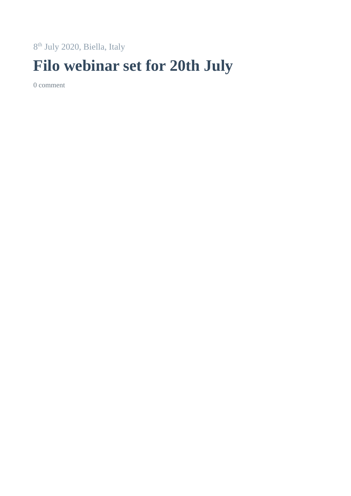th July 2020, Biella, Italy

## **Filo webinar set for 20th July**

[comment](https://www.knittingindustry.com/54th-edition-of-filo-webinar-set-for-20th-july/#comments)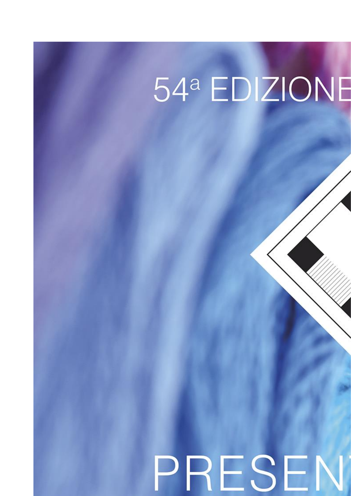## 54ª EDIZIONE PRESEN